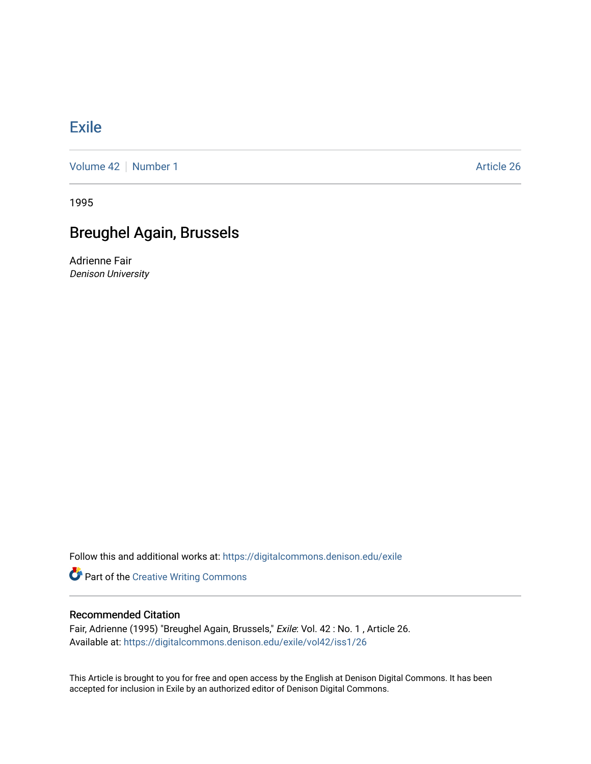## [Exile](https://digitalcommons.denison.edu/exile)

[Volume 42](https://digitalcommons.denison.edu/exile/vol42) | [Number 1](https://digitalcommons.denison.edu/exile/vol42/iss1) Article 26

1995

# Breughel Again, Brussels

Adrienne Fair Denison University

Follow this and additional works at: [https://digitalcommons.denison.edu/exile](https://digitalcommons.denison.edu/exile?utm_source=digitalcommons.denison.edu%2Fexile%2Fvol42%2Fiss1%2F26&utm_medium=PDF&utm_campaign=PDFCoverPages) 

**Part of the Creative Writing Commons** 

### Recommended Citation

Fair, Adrienne (1995) "Breughel Again, Brussels," Exile: Vol. 42 : No. 1 , Article 26. Available at: [https://digitalcommons.denison.edu/exile/vol42/iss1/26](https://digitalcommons.denison.edu/exile/vol42/iss1/26?utm_source=digitalcommons.denison.edu%2Fexile%2Fvol42%2Fiss1%2F26&utm_medium=PDF&utm_campaign=PDFCoverPages)

This Article is brought to you for free and open access by the English at Denison Digital Commons. It has been accepted for inclusion in Exile by an authorized editor of Denison Digital Commons.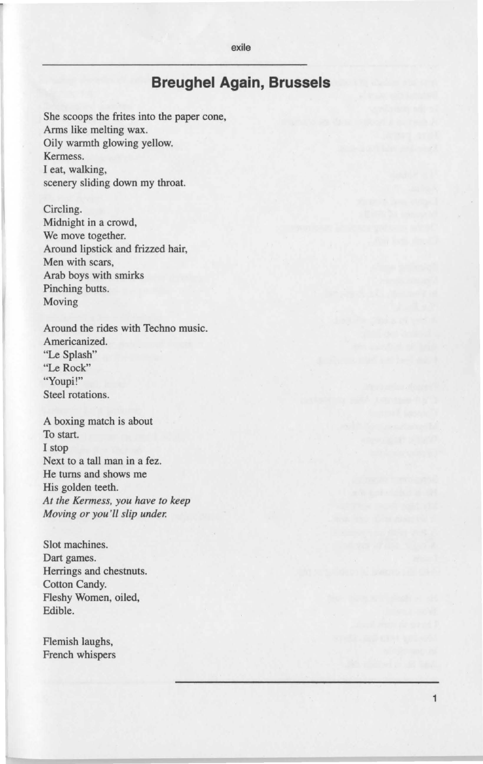exile

## **Breughel Again, Brussels**

She scoops the frites into the paper cone, Arms like melting wax. Oily warmth glowing yellow. Kermess. I eat, walking, scenery sliding down my throat.

Circling. Midnight in a crowd, We move together. Around lipstick and frizzed hair, Men with scars, Arab boys with smirks Pinching butts. Moving

Around the rides with Techno music. Americanized. "Le Splash" "Le Rock" "Youpi!" Steel rotations.

A boxing match is about To start. I stop Next to a tall man in a fez. He turns and shows me His golden teeth. *At the Kermess, you have to keep Moving or you'll slip under:* 

Slot machines. Dart games. Herrings and chestnuts. Cotton Candy. Fleshy Women, oiled, Edible.

Flemish laughs, French whispers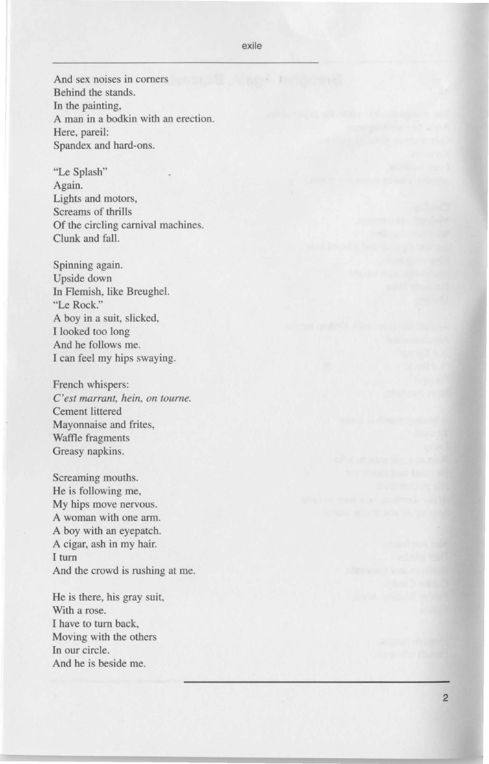#### exile

And sex noises in corners Behind the stands. In the painting, A man in a bodkin with an erection. Here, pareil: Spandex and hard-ons.

"Le Splash" Again. Lights and motors, Screams of thrills Of the circling carnival machines. Clunk and fall.

Spinning again. Upside down In Flemish, like Breugbel. "Le Rock." A boy in a suit, slicked, I looked too long And he follows me. I can feel my hips swaying.

French whispers: *C'est marrant, hein, on tourne.*  Cement littered Mayonnaise and frites, Waffle fragments Greasy napkins.

Screaming mouths. He is following me, My hips move nervous. A woman with one arm. A boy with an eyepatch. A cigar, ash in my hair. I turn And the crowd is rushing at me.

He is there, his gray suit, With a rose. I have to turn back, Moving with the others In our circle. And he is beside me.